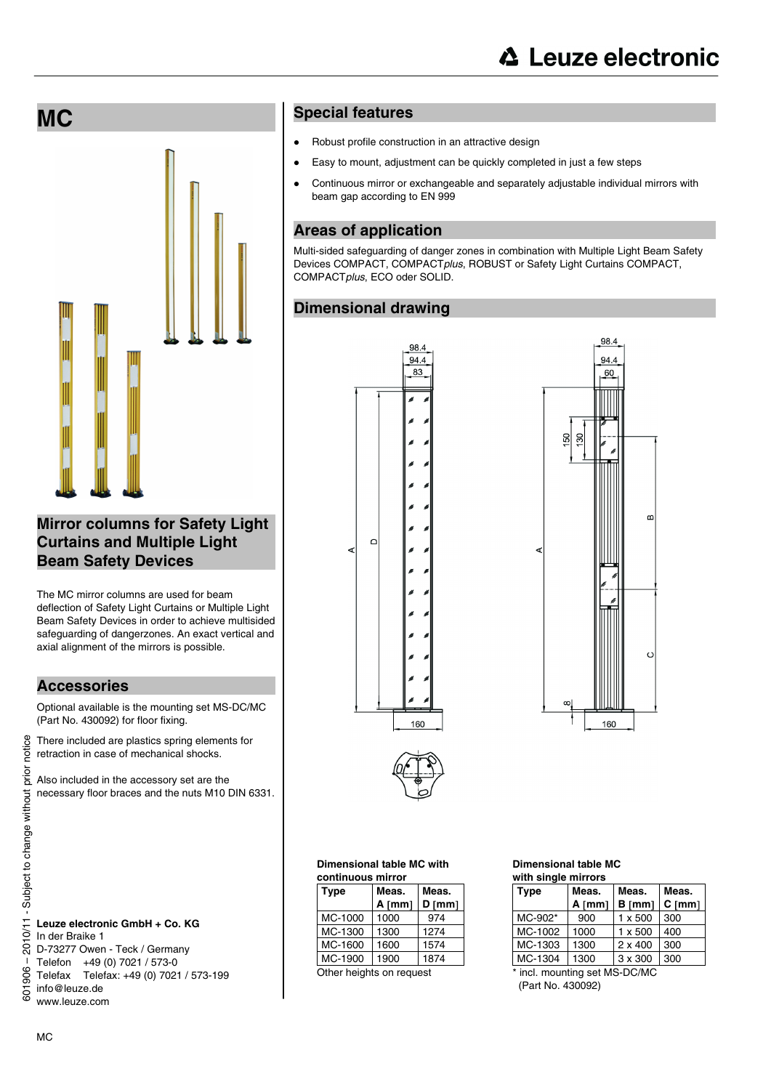**MC** 



## **Mirror columns for Safety Light Curtains and Multiple Light Beam Safety Devices**

The MC mirror columns are used for beam deflection of Safety Light Curtains or Multiple Light Beam Safety Devices in order to achieve multisided safeguarding of dangerzones. An exact vertical and axial alignment of the mirrors is possible.

### **Accessories**

Optional available is the mounting set MS-DC/MC (Part No. 430092) for floor fixing.

There included are plastics spring elements for retraction in case of mechanical shocks.

Also included in the accessory set are the necessary floor braces and the nuts M10 DIN 6331.

### **Leuze electronic GmbH + Co. KG**  In der Braike 1 D-73277 Owen - Teck / Germany Telefon +49 (0) 7021 / 573-0

Telefax Telefax: +49 (0) 7021 / 573-199

info@leuze.de

www.leuze.com

### **Special features**

- Robust profile construction in an attractive design
- Easy to mount, adjustment can be quickly completed in just a few steps
- Continuous mirror or exchangeable and separately adjustable individual mirrors with beam gap according to EN 999

## **Areas of application**

Multi-sided safeguarding of danger zones in combination with Multiple Light Beam Safety Devices COMPACT, COMPACT*plus*, ROBUST or Safety Light Curtains COMPACT, COMPACT*plus*, ECO oder SOLID.

### **Dimensional drawing**





# **Dimensional table MC with**

| continuous mirror |          |          |  |  |
|-------------------|----------|----------|--|--|
| <b>Type</b>       | Meas.    | Meas.    |  |  |
|                   | $A$ [mm] | $D$ [mm] |  |  |
| MC-1000           | 1000     | 974      |  |  |
| MC-1300           | 1300     | 1274     |  |  |
| MC-1600           | 1600     | 1574     |  |  |
| MC-1900           | 1900     | 1874     |  |  |

#### **Dimensional table MC with single mirrors**

| Type    | Meas.<br>A [mm] | Meas.<br>$B$ [mm] | Meas.<br>$C$ [mm] |
|---------|-----------------|-------------------|-------------------|
| MC-902* | 900             | $1 \times 500$    | 300               |
| MC-1002 | 1000            | $1 \times 500$    | 400               |
| MC-1303 | 1300            | $2 \times 400$    | 300               |
| MC-1304 | 1300            | $3 \times 300$    | 300               |

\* incl. mounting set MS-DC/MC (Part No. 430092)

MC